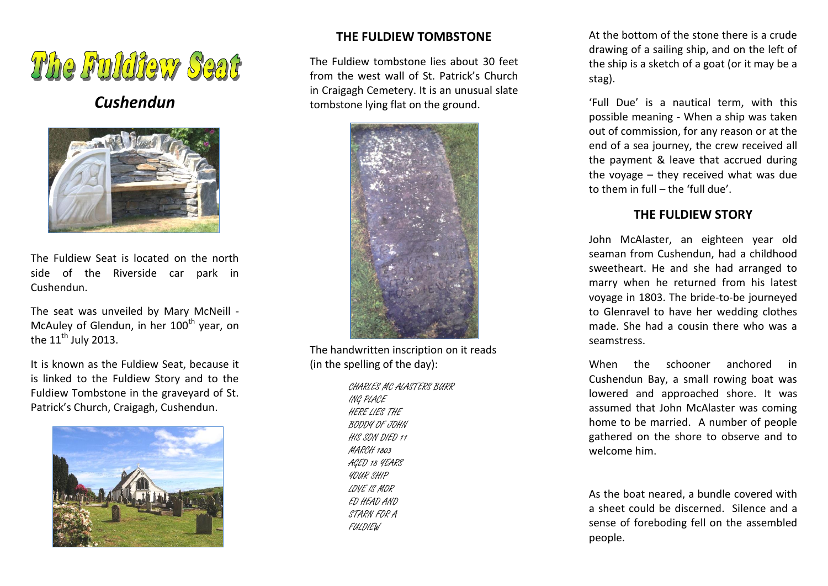# The Fuldfew Seat

# *Cushendun*



The Fuldiew Seat is located on the north side of the Riverside car park in Cushendun.

The seat was unveiled by Mary McNeill - McAuley of Glendun, in her 100<sup>th</sup> year, on the  $11<sup>th</sup>$  July 2013.

It is known as the Fuldiew Seat, because it is linked to the Fuldiew Story and to the Fuldiew Tombstone in the graveyard of St. Patrick's Church, Craigagh, Cushendun.



## **THE FULDIEW TOMBSTONE**

The Fuldiew tombstone lies about 30 feet from the west wall of St. Patrick's Church in Craigagh Cemetery. It is an unusual slate tombstone lying flat on the ground.



The handwritten inscription on it reads (in the spelling of the day):

> CHARLES MC ALASTERS BURR ING PLACE HERE LIES THE BODDY OF JOHN HIS SON DIED 11 MARCH 1803 AGED 18 YEARS YOUR SHIP LOVE IS MOR ED HEAD AND STARN FOR A FULDIEW

At the bottom of the stone there is a crude drawing of a sailing ship, and on the left of the ship is a sketch of a goat (or it may be a stag).

'Full Due' is a nautical term, with this possible meaning - When a ship was taken out of commission, for any reason or at the end of a sea journey, the crew received all the payment & leave that accrued during the voyage – they received what was due to them in full – the 'full due'.

### **THE FULDIEW STORY**

John McAlaster, an eighteen year old seaman from Cushendun, had a childhood sweetheart. He and she had arranged to marry when he returned from his latest voyage in 1803. The bride-to-be journeyed to Glenravel to have her wedding clothes made. She had a cousin there who was a seamstress.

When the schooner anchored in Cushendun Bay, a small rowing boat was lowered and approached shore. It was assumed that John McAlaster was coming home to be married. A number of people gathered on the shore to observe and to welcome him.

As the boat neared, a bundle covered with a sheet could be discerned. Silence and a sense of foreboding fell on the assembled people.